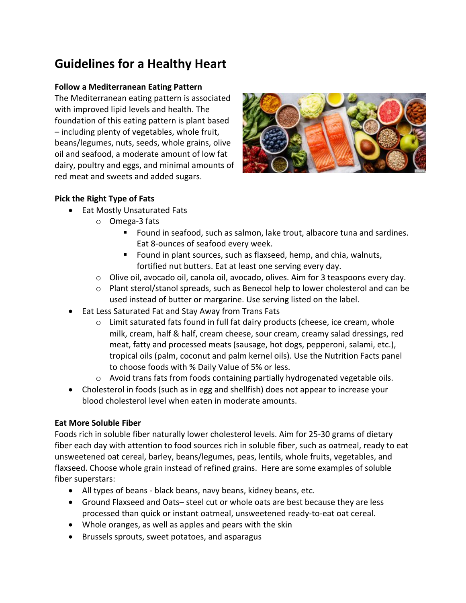# **Guidelines for a Healthy Heart**

### **Follow a Mediterranean Eating Pattern**

The Mediterranean eating pattern is associated with improved lipid levels and health. The foundation of this eating pattern is plant based  $-$  including plenty of vegetables, whole fruit, beans/legumes, nuts, seeds, whole grains, olive oil and seafood, a moderate amount of low fat dairy, poultry and eggs, and minimal amounts of red meat and sweets and added sugars.



# **Pick the Right Type of Fats**

- Eat Mostly Unsaturated Fats
	- o Omega-3 fats
		- Found in seafood, such as salmon, lake trout, albacore tuna and sardines. Eat 8-ounces of seafood every week.
		- Found in plant sources, such as flaxseed, hemp, and chia, walnuts, fortified nut butters. Eat at least one serving every day.
	- $\circ$  Olive oil, avocado oil, canola oil, avocado, olives. Aim for 3 teaspoons every day.
	- o Plant sterol/stanol spreads, such as Benecol help to lower cholesterol and can be used instead of butter or margarine. Use serving listed on the label.
- **Eat Less Saturated Fat and Stay Away from Trans Fats** 
	- $\circ$  Limit saturated fats found in full fat dairy products (cheese, ice cream, whole milk, cream, half & half, cream cheese, sour cream, creamy salad dressings, red meat, fatty and processed meats (sausage, hot dogs, pepperoni, salami, etc.), tropical oils (palm, coconut and palm kernel oils). Use the Nutrition Facts panel to choose foods with % Daily Value of 5% or less.
	- $\circ$  Avoid trans fats from foods containing partially hydrogenated vegetable oils.
- Cholesterol in foods (such as in egg and shellfish) does not appear to increase your blood cholesterol level when eaten in moderate amounts.

# **Eat More Soluble Fiber**

Foods rich in soluble fiber naturally lower cholesterol levels. Aim for 25-30 grams of dietary fiber each day with attention to food sources rich in soluble fiber, such as oatmeal, ready to eat unsweetened oat cereal, barley, beans/legumes, peas, lentils, whole fruits, vegetables, and flaxseed. Choose whole grain instead of refined grains. Here are some examples of soluble fiber superstars:

- All types of beans black beans, navy beans, kidney beans, etc.
- Ground Flaxseed and Oats- steel cut or whole oats are best because they are less processed than quick or instant oatmeal, unsweetened ready-to-eat oat cereal.
- Whole oranges, as well as apples and pears with the skin
- Brussels sprouts, sweet potatoes, and asparagus